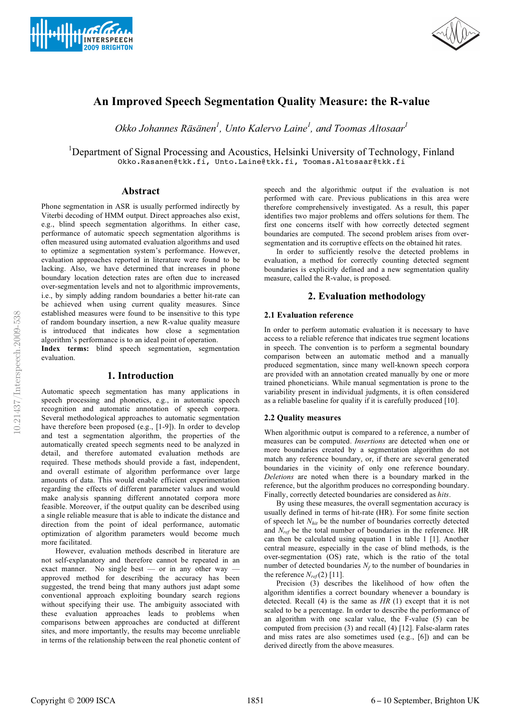



# **An Improved Speech Segmentation Quality Measure: the R-value**

Okko Johannes Räsänen<sup>1</sup>, Unto Kalervo Laine<sup>1</sup>, and Toomas Altosaar<sup>1</sup>

<sup>1</sup>Department of Signal Processing and Acoustics, Helsinki University of Technology, Finland Okko.Rasanen@tkk.fi, Unto.Laine@tkk.fi, Toomas.Altosaar@tkk.fi

## **Abstract**

Phone segmentation in ASR is usually performed indirectly by Viterbi decoding of HMM output. Direct approaches also exist, e.g., blind speech segmentation algorithms. In either case, performance of automatic speech segmentation algorithms is often measured using automated evaluation algorithms and used to optimize a segmentation system's performance. However, evaluation approaches reported in literature were found to be lacking. Also, we have determined that increases in phone boundary location detection rates are often due to increased over-segmentation levels and not to algorithmic improvements, i.e., by simply adding random boundaries a better hit-rate can be achieved when using current quality measures. Since established measures were found to be insensitive to this type of random boundary insertion, a new R-value quality measure is introduced that indicates how close a segmentation algorithm's performance is to an ideal point of operation.

**Index terms:** blind speech segmentation, segmentation evaluation.

## **1. Introduction**

Automatic speech segmentation has many applications in speech processing and phonetics, e.g., in automatic speech recognition and automatic annotation of speech corpora. Several methodological approaches to automatic segmentation have therefore been proposed (e.g., [1-9]). In order to develop and test a segmentation algorithm, the properties of the automatically created speech segments need to be analyzed in detail, and therefore automated evaluation methods are required. These methods should provide a fast, independent, and overall estimate of algorithm performance over large amounts of data. This would enable efficient experimentation regarding the effects of different parameter values and would make analysis spanning different annotated corpora more feasible. Moreover, if the output quality can be described using a single reliable measure that is able to indicate the distance and direction from the point of ideal performance, automatic optimization of algorithm parameters would become much more facilitated.

 However, evaluation methods described in literature are not self-explanatory and therefore cannot be repeated in an exact manner. No single best — or in any other way approved method for describing the accuracy has been suggested, the trend being that many authors just adapt some conventional approach exploiting boundary search regions without specifying their use. The ambiguity associated with these evaluation approaches leads to problems when comparisons between approaches are conducted at different sites, and more importantly, the results may become unreliable in terms of the relationship between the real phonetic content of speech and the algorithmic output if the evaluation is not performed with care. Previous publications in this area were therefore comprehensively investigated. As a result, this paper identifies two major problems and offers solutions for them. The first one concerns itself with how correctly detected segment boundaries are computed. The second problem arises from oversegmentation and its corruptive effects on the obtained hit rates.

In order to sufficiently resolve the detected problems in evaluation, a method for correctly counting detected segment boundaries is explicitly defined and a new segmentation quality measure, called the R-value, is proposed.

## **2. Evaluation methodology**

## **2.1 Evaluation reference**

In order to perform automatic evaluation it is necessary to have access to a reliable reference that indicates true segment locations in speech. The convention is to perform a segmental boundary comparison between an automatic method and a manually produced segmentation, since many well-known speech corpora are provided with an annotation created manually by one or more trained phoneticians. While manual segmentation is prone to the variability present in individual judgments, it is often considered as a reliable baseline for quality if it is carefully produced [10].

## **2.2 Quality measures**

When algorithmic output is compared to a reference, a number of measures can be computed. *Insertions* are detected when one or more boundaries created by a segmentation algorithm do not match any reference boundary, or, if there are several generated boundaries in the vicinity of only one reference boundary. *Deletions* are noted when there is a boundary marked in the reference, but the algorithm produces no corresponding boundary. Finally, correctly detected boundaries are considered as *hits*.

By using these measures, the overall segmentation accuracy is usually defined in terms of hit-rate (HR). For some finite section of speech let *Nhit* be the number of boundaries correctly detected and *Nref* be the total number of boundaries in the reference. HR can then be calculated using equation 1 in table 1 [1]. Another central measure, especially in the case of blind methods, is the over-segmentation (OS) rate, which is the ratio of the total number of detected boundaries  $N_f$  to the number of boundaries in the reference  $N_{ref}(2)$  [11].

Precision (3) describes the likelihood of how often the algorithm identifies a correct boundary whenever a boundary is detected. Recall (4) is the same as *HR* (1) except that it is not scaled to be a percentage. In order to describe the performance of an algorithm with one scalar value, the F-value (5) can be computed from precision (3) and recall (4) [12]. False-alarm rates and miss rates are also sometimes used (e.g., [6]) and can be derived directly from the above measures.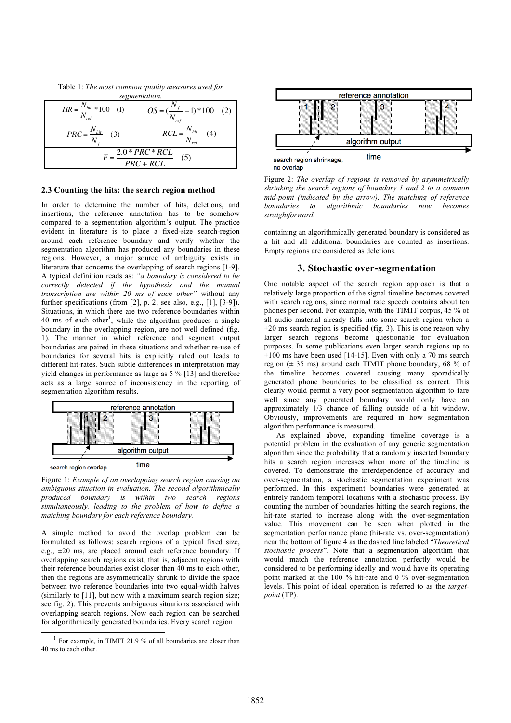Table 1: *The most common quality measures used for* 

| segmentation.                        |                                              |
|--------------------------------------|----------------------------------------------|
| $HR = \frac{N_{hit}}{N_{ref}} * 100$ | $OS = (\frac{IV_f}{N} - 1) * 100$ (2)<br>ret |
| $PRC = \frac{N_{hit}}{N}$            | $\frac{N_{hit}}{N}$<br>RCL<br>(4)            |
| $2.0*PRC*RCL$<br>(5)<br>$PRC + RCL$  |                                              |

#### **2.3 Counting the hits: the search region method**

In order to determine the number of hits, deletions, and insertions, the reference annotation has to be somehow compared to a segmentation algorithm's output. The practice evident in literature is to place a fixed-size search-region around each reference boundary and verify whether the segmentation algorithm has produced any boundaries in these regions. However, a major source of ambiguity exists in literature that concerns the overlapping of search regions [1-9]. A typical definition reads as: *"a boundary is considered to be correctly detected if the hypothesis and the manual transcription are within 20 ms of each other"* without any further specifications (from [2], p. 2; see also, e.g., [1], [3-9]). Situations, in which there are two reference boundaries within 40 ms of each other<sup>1</sup>, while the algorithm produces a single boundary in the overlapping region, are not well defined (fig. 1). The manner in which reference and segment output boundaries are paired in these situations and whether re-use of boundaries for several hits is explicitly ruled out leads to different hit-rates. Such subtle differences in interpretation may yield changes in performance as large as 5 % [13] and therefore acts as a large source of inconsistency in the reporting of segmentation algorithm results.



Figure 1: *Example of an overlapping search region causing an ambiguous situation in evaluation. The second algorithmically produced boundary is within two search regions simultaneously, leading to the problem of how to define a matching boundary for each reference boundary.*

A simple method to avoid the overlap problem can be formulated as follows: search regions of a typical fixed size, e.g., ±20 ms, are placed around each reference boundary. If overlapping search regions exist, that is, adjacent regions with their reference boundaries exist closer than 40 ms to each other, then the regions are asymmetrically shrunk to divide the space between two reference boundaries into two equal-width halves (similarly to [11], but now with a maximum search region size; see fig. 2). This prevents ambiguous situations associated with overlapping search regions. Now each region can be searched for algorithmically generated boundaries. Every search region



Figure 2: *The overlap of regions is removed by asymmetrically shrinking the search regions of boundary 1 and 2 to a common mid-point (indicated by the arrow). The matching of reference boundaries to algorithmic boundaries now becomes straightforward.* 

containing an algorithmically generated boundary is considered as a hit and all additional boundaries are counted as insertions. Empty regions are considered as deletions.

## **3. Stochastic over-segmentation**

One notable aspect of the search region approach is that a relatively large proportion of the signal timeline becomes covered with search regions, since normal rate speech contains about ten phones per second. For example, with the TIMIT corpus, 45 % of all audio material already falls into some search region when a  $\pm 20$  ms search region is specified (fig. 3). This is one reason why larger search regions become questionable for evaluation purposes. In some publications even larger search regions up to  $\pm 100$  ms have been used [14-15]. Even with only a 70 ms search region ( $\pm$  35 ms) around each TIMIT phone boundary, 68 % of the timeline becomes covered causing many sporadically generated phone boundaries to be classified as correct. This clearly would permit a very poor segmentation algorithm to fare well since any generated boundary would only have an approximately 1/3 chance of falling outside of a hit window. Obviously, improvements are required in how segmentation algorithm performance is measured.

As explained above, expanding timeline coverage is a potential problem in the evaluation of any generic segmentation algorithm since the probability that a randomly inserted boundary hits a search region increases when more of the timeline is covered. To demonstrate the interdependence of accuracy and over-segmentation, a stochastic segmentation experiment was performed. In this experiment boundaries were generated at entirely random temporal locations with a stochastic process. By counting the number of boundaries hitting the search regions, the hit-rate started to increase along with the over-segmentation value. This movement can be seen when plotted in the segmentation performance plane (hit-rate vs. over-segmentation) near the bottom of figure 4 as the dashed line labeled "*Theoretical stochastic process*". Note that a segmentation algorithm that would match the reference annotation perfectly would be considered to be performing ideally and would have its operating point marked at the 100 % hit-rate and 0 % over-segmentation levels. This point of ideal operation is referred to as the *targetpoint* (TP).

 <sup>1</sup> For example, in TIMIT 21.9 % of all boundaries are closer than 40 ms to each other.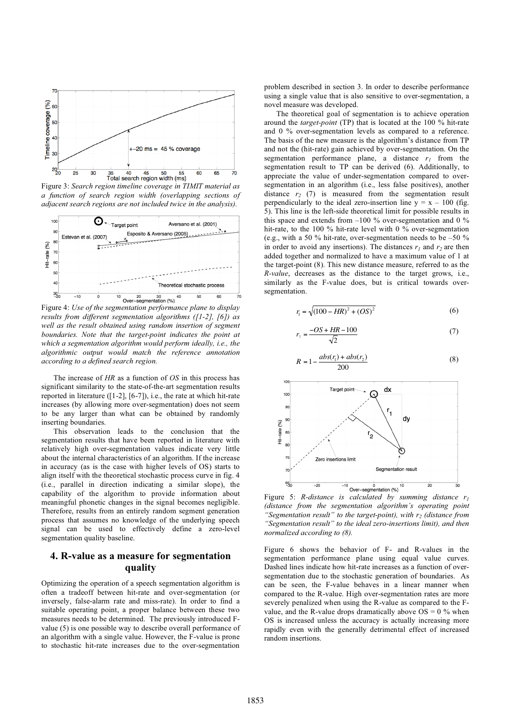

Figure 3: *Search region timeline coverage in TIMIT material as a function of search region width (overlapping sections of adjacent search regions are not included twice in the analysis).* 



Figure 4: *Use of the segmentation performance plane to display results from different segmentation algorithms ([1-2], [6]) as well as the result obtained using random insertion of segment boundaries. Note that the target-point indicates the point at which a segmentation algorithm would perform ideally, i.e., the algorithmic output would match the reference annotation according to a defined search region.* 

The increase of *HR* as a function of *OS* in this process has significant similarity to the state-of-the-art segmentation results reported in literature ([1-2], [6-7]), i.e., the rate at which hit-rate increases (by allowing more over-segmentation) does not seem to be any larger than what can be obtained by randomly inserting boundaries.

This observation leads to the conclusion that the segmentation results that have been reported in literature with relatively high over-segmentation values indicate very little about the internal characteristics of an algorithm. If the increase in accuracy (as is the case with higher levels of OS) starts to align itself with the theoretical stochastic process curve in fig. 4 (i.e., parallel in direction indicating a similar slope), the capability of the algorithm to provide information about meaningful phonetic changes in the signal becomes negligible. Therefore, results from an entirely random segment generation process that assumes no knowledge of the underlying speech signal can be used to effectively define a zero-level segmentation quality baseline.

## **4. R-value as a measure for segmentation quality**

Optimizing the operation of a speech segmentation algorithm is often a tradeoff between hit-rate and over-segmentation (or inversely, false-alarm rate and miss-rate). In order to find a suitable operating point, a proper balance between these two measures needs to be determined. The previously introduced Fvalue (5) is one possible way to describe overall performance of an algorithm with a single value. However, the F-value is prone to stochastic hit-rate increases due to the over-segmentation

problem described in section 3. In order to describe performance using a single value that is also sensitive to over-segmentation, a novel measure was developed.

The theoretical goal of segmentation is to achieve operation around the *target-point* (TP) that is located at the 100 % hit-rate and 0 % over-segmentation levels as compared to a reference. The basis of the new measure is the algorithm's distance from TP and not the (hit-rate) gain achieved by over-segmentation. On the segmentation performance plane, a distance  $r_1$  from the segmentation result to TP can be derived (6). Additionally, to appreciate the value of under-segmentation compared to oversegmentation in an algorithm (i.e., less false positives), another distance  $r_2$  (7) is measured from the segmentation result perpendicularly to the ideal zero-insertion line  $y = x - 100$  (fig. 5). This line is the left-side theoretical limit for possible results in this space and extends from –100 % over-segmentation and 0 % hit-rate, to the 100 % hit-rate level with 0 % over-segmentation (e.g., with a 50 % hit-rate, over-segmentation needs to be –50 % in order to avoid any insertions). The distances  $r_1$  and  $r_2$  are then added together and normalized to have a maximum value of 1 at the target-point (8). This new distance measure, referred to as the *R-value*, decreases as the distance to the target grows, i.e., similarly as the F-value does, but is critical towards oversegmentation.

$$
r_{\rm i} = \sqrt{(100 - HR)^2 + (OS)^2} \tag{6}
$$

$$
r_z = \frac{-OS + HR - 100}{\sqrt{2}}\tag{7}
$$

$$
R = 1 - \frac{abs(r_1) + abs(r_2)}{200}
$$
 (8)



Figure 5: *R-distance is calculated by summing distance r1 (distance from the segmentation algorithm's operating point*  "Segmentation result" to the target-point), with  $r_2$  (distance from *"Segmentation result" to the ideal zero-insertions limit), and then normalized according to (8).* 

Figure 6 shows the behavior of F- and R-values in the segmentation performance plane using equal value curves. Dashed lines indicate how hit-rate increases as a function of oversegmentation due to the stochastic generation of boundaries. As can be seen, the F-value behaves in a linear manner when compared to the R-value. High over-segmentation rates are more severely penalized when using the R-value as compared to the Fvalue, and the R-value drops dramatically above  $OS = 0$  % when OS is increased unless the accuracy is actually increasing more rapidly even with the generally detrimental effect of increased random insertions.